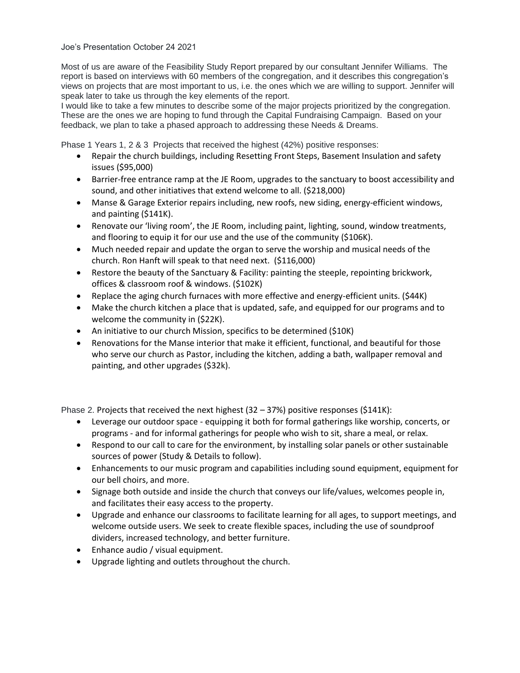## Joe's Presentation October 24 2021

Most of us are aware of the Feasibility Study Report prepared by our consultant Jennifer Williams. The report is based on interviews with 60 members of the congregation, and it describes this congregation's views on projects that are most important to us, i.e. the ones which we are willing to support. Jennifer will speak later to take us through the key elements of the report.

I would like to take a few minutes to describe some of the major projects prioritized by the congregation. These are the ones we are hoping to fund through the Capital Fundraising Campaign. Based on your feedback, we plan to take a phased approach to addressing these Needs & Dreams.

Phase 1 Years 1, 2 & 3 Projects that received the highest (42%) positive responses:

- Repair the church buildings, including Resetting Front Steps, Basement Insulation and safety issues (\$95,000)
- Barrier-free entrance ramp at the JE Room, upgrades to the sanctuary to boost accessibility and sound, and other initiatives that extend welcome to all. (\$218,000)
- Manse & Garage Exterior repairs including, new roofs, new siding, energy-efficient windows, and painting (\$141K).
- Renovate our 'living room', the JE Room, including paint, lighting, sound, window treatments, and flooring to equip it for our use and the use of the community (\$106K).
- Much needed repair and update the organ to serve the worship and musical needs of the church. Ron Hanft will speak to that need next. (\$116,000)
- Restore the beauty of the Sanctuary & Facility: painting the steeple, repointing brickwork, offices & classroom roof & windows. (\$102K)
- Replace the aging church furnaces with more effective and energy-efficient units. (\$44K)
- Make the church kitchen a place that is updated, safe, and equipped for our programs and to welcome the community in (\$22K).
- An initiative to our church Mission, specifics to be determined (\$10K)
- Renovations for the Manse interior that make it efficient, functional, and beautiful for those who serve our church as Pastor, including the kitchen, adding a bath, wallpaper removal and painting, and other upgrades (\$32k).

Phase 2. Projects that received the next highest  $(32 - 37%)$  positive responses  $(5141K)$ :

- Leverage our outdoor space equipping it both for formal gatherings like worship, concerts, or programs - and for informal gatherings for people who wish to sit, share a meal, or relax.
- Respond to our call to care for the environment, by installing solar panels or other sustainable sources of power (Study & Details to follow).
- Enhancements to our music program and capabilities including sound equipment, equipment for our bell choirs, and more.
- Signage both outside and inside the church that conveys our life/values, welcomes people in, and facilitates their easy access to the property.
- Upgrade and enhance our classrooms to facilitate learning for all ages, to support meetings, and welcome outside users. We seek to create flexible spaces, including the use of soundproof dividers, increased technology, and better furniture.
- Enhance audio / visual equipment.
- Upgrade lighting and outlets throughout the church.